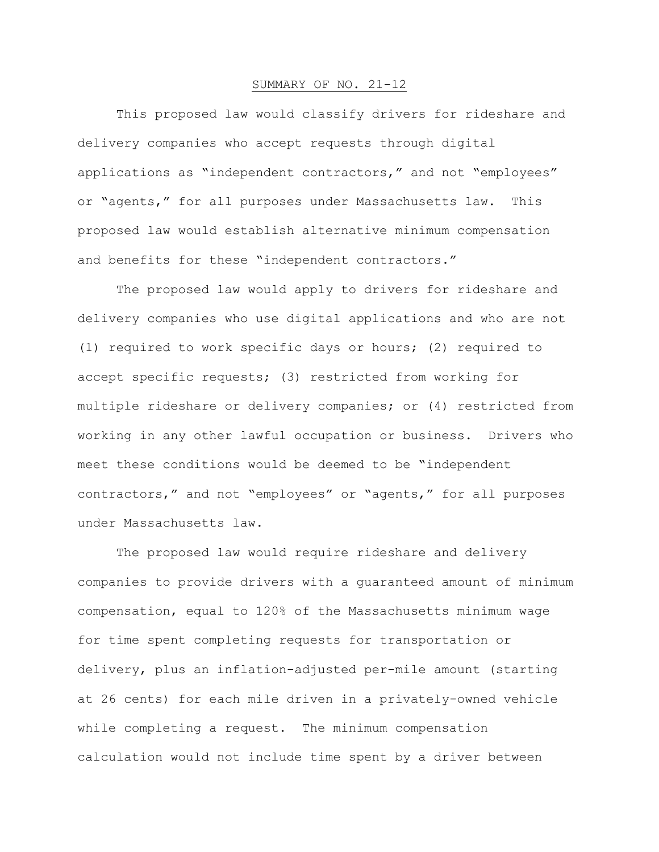## SUMMARY OF NO. 21-12

This proposed law would classify drivers for rideshare and delivery companies who accept requests through digital applications as "independent contractors," and not "employees" or "agents," for all purposes under Massachusetts law. This proposed law would establish alternative minimum compensation and benefits for these "independent contractors."

The proposed law would apply to drivers for rideshare and delivery companies who use digital applications and who are not (1) required to work specific days or hours; (2) required to accept specific requests; (3) restricted from working for multiple rideshare or delivery companies; or (4) restricted from working in any other lawful occupation or business. Drivers who meet these conditions would be deemed to be "independent contractors," and not "employees" or "agents," for all purposes under Massachusetts law.

The proposed law would require rideshare and delivery companies to provide drivers with a guaranteed amount of minimum compensation, equal to 120% of the Massachusetts minimum wage for time spent completing requests for transportation or delivery, plus an inflation-adjusted per-mile amount (starting at 26 cents) for each mile driven in a privately-owned vehicle while completing a request. The minimum compensation calculation would not include time spent by a driver between